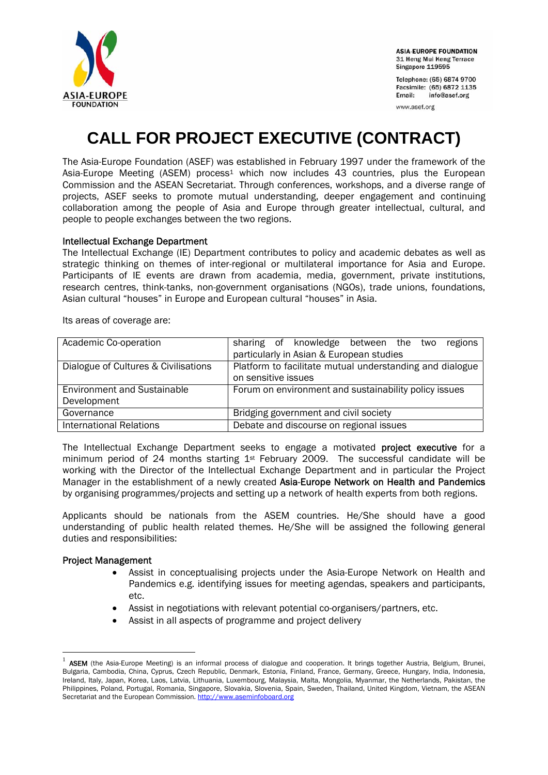

**ASIA-EUROPE FOUNDATION** 31 Heng Mui Keng Terrace Singapore 119595

Telephone: (65) 6874 9700 Facsimile: (65) 6872 1135 info@asef.org Email:

www.asef.org

# **CALL FOR PROJECT EXECUTIVE (CONTRACT)**

The Asia-Europe Foundation (ASEF) was established in February 1997 under the framework of the Asia-Europe Meeting (ASEM) process<sup>1</sup> which now includes 43 countries, plus the European Commission and the ASEAN Secretariat. Through conferences, workshops, and a diverse range of projects, ASEF seeks to promote mutual understanding, deeper engagement and continuing collaboration among the people of Asia and Europe through greater intellectual, cultural, and people to people exchanges between the two regions.

## Intellectual Exchange Department

The Intellectual Exchange (IE) Department contributes to policy and academic debates as well as strategic thinking on themes of inter-regional or multilateral importance for Asia and Europe. Participants of IE events are drawn from academia, media, government, private institutions, research centres, think-tanks, non-government organisations (NGOs), trade unions, foundations, Asian cultural "houses" in Europe and European cultural "houses" in Asia.

Its areas of coverage are:

| Academic Co-operation                | sharing of knowledge between the two<br>regions          |
|--------------------------------------|----------------------------------------------------------|
|                                      | particularly in Asian & European studies                 |
| Dialogue of Cultures & Civilisations | Platform to facilitate mutual understanding and dialogue |
|                                      | on sensitive issues                                      |
| <b>Environment and Sustainable</b>   | Forum on environment and sustainability policy issues    |
| Development                          |                                                          |
| Governance                           | Bridging government and civil society                    |
| <b>International Relations</b>       | Debate and discourse on regional issues                  |

The Intellectual Exchange Department seeks to engage a motivated project executive for a minimum period of 24 months starting 1st February 2009. The successful candidate will be working with the Director of the Intellectual Exchange Department and in particular the Project Manager in the establishment of a newly created Asia-Europe Network on Health and Pandemics by organising programmes/projects and setting up a network of health experts from both regions.

Applicants should be nationals from the ASEM countries. He/She should have a good understanding of public health related themes. He/She will be assigned the following general duties and responsibilities:

## Project Management

 $\overline{a}$ 

- Assist in conceptualising projects under the Asia-Europe Network on Health and Pandemics e.g. identifying issues for meeting agendas, speakers and participants, etc.
- Assist in negotiations with relevant potential co-organisers/partners, etc.
- Assist in all aspects of programme and project delivery

ASEM (the Asia-Europe Meeting) is an informal process of dialogue and cooperation. It brings together Austria, Belgium, Brunei, Bulgaria, Cambodia, China, Cyprus, Czech Republic, Denmark, Estonia, Finland, France, Germany, Greece, Hungary, India, Indonesia, Ireland, Italy, Japan, Korea, Laos, Latvia, Lithuania, Luxembourg, Malaysia, Malta, Mongolia, Myanmar, the Netherlands, Pakistan, the Philippines, Poland, Portugal, Romania, Singapore, Slovakia, Slovenia, Spain, Sweden, Thailand, United Kingdom, Vietnam, the ASEAN Secretariat and the European Commission. http://www.aseminfoboard.org